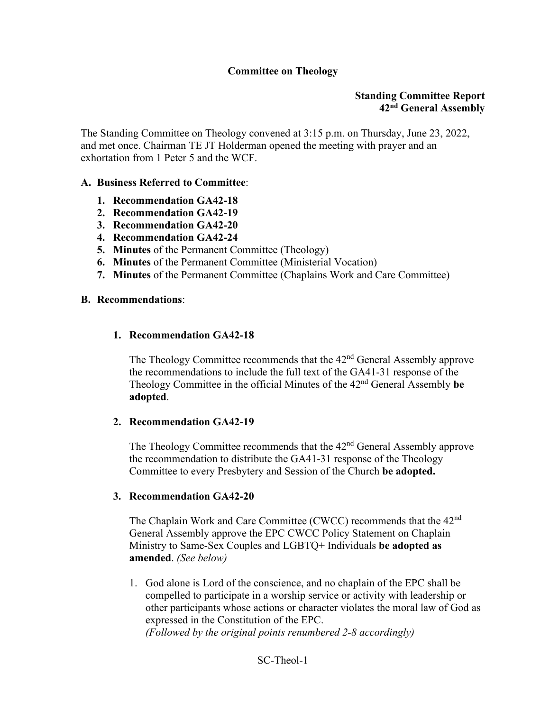## **Committee on Theology**

## **Standing Committee Report 42nd General Assembly**

The Standing Committee on Theology convened at 3:15 p.m. on Thursday, June 23, 2022, and met once. Chairman TE JT Holderman opened the meeting with prayer and an exhortation from 1 Peter 5 and the WCF.

## **A. Business Referred to Committee**:

- **1. Recommendation GA42-18**
- **2. Recommendation GA42-19**
- **3. Recommendation GA42-20**
- **4. Recommendation GA42-24**
- **5. Minutes** of the Permanent Committee (Theology)
- **6. Minutes** of the Permanent Committee (Ministerial Vocation)
- **7. Minutes** of the Permanent Committee (Chaplains Work and Care Committee)

#### **B. Recommendations**:

## **1. Recommendation GA42-18**

The Theology Committee recommends that the 42<sup>nd</sup> General Assembly approve the recommendations to include the full text of the GA41-31 response of the Theology Committee in the official Minutes of the 42nd General Assembly **be adopted**.

#### **2. Recommendation GA42-19**

The Theology Committee recommends that the 42<sup>nd</sup> General Assembly approve the recommendation to distribute the GA41-31 response of the Theology Committee to every Presbytery and Session of the Church **be adopted.** 

#### **3. Recommendation GA42-20**

The Chaplain Work and Care Committee (CWCC) recommends that the 42<sup>nd</sup> General Assembly approve the EPC CWCC Policy Statement on Chaplain Ministry to Same-Sex Couples and LGBTQ+ Individuals **be adopted as amended**. *(See below)*

1. God alone is Lord of the conscience, and no chaplain of the EPC shall be compelled to participate in a worship service or activity with leadership or other participants whose actions or character violates the moral law of God as expressed in the Constitution of the EPC. *(Followed by the original points renumbered 2-8 accordingly)*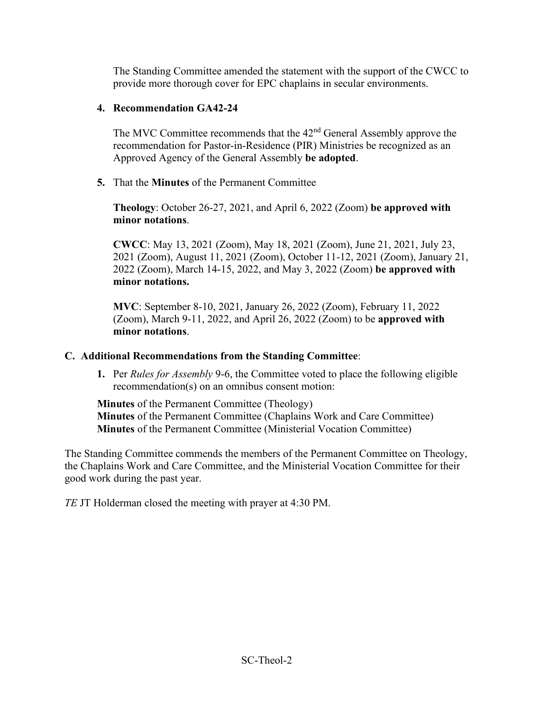The Standing Committee amended the statement with the support of the CWCC to provide more thorough cover for EPC chaplains in secular environments.

## **4. Recommendation GA42-24**

The MVC Committee recommends that the 42<sup>nd</sup> General Assembly approve the recommendation for Pastor-in-Residence (PIR) Ministries be recognized as an Approved Agency of the General Assembly **be adopted**.

**5.** That the **Minutes** of the Permanent Committee

**Theology**: October 26-27, 2021, and April 6, 2022 (Zoom) **be approved with minor notations**.

**CWCC**: May 13, 2021 (Zoom), May 18, 2021 (Zoom), June 21, 2021, July 23, 2021 (Zoom), August 11, 2021 (Zoom), October 11-12, 2021 (Zoom), January 21, 2022 (Zoom), March 14-15, 2022, and May 3, 2022 (Zoom) **be approved with minor notations.**

**MVC**: September 8-10, 2021, January 26, 2022 (Zoom), February 11, 2022 (Zoom), March 9-11, 2022, and April 26, 2022 (Zoom) to be **approved with minor notations**.

# **C. Additional Recommendations from the Standing Committee**:

**1.** Per *Rules for Assembly* 9-6, the Committee voted to place the following eligible recommendation(s) on an omnibus consent motion:

**Minutes** of the Permanent Committee (Theology) **Minutes** of the Permanent Committee (Chaplains Work and Care Committee) **Minutes** of the Permanent Committee (Ministerial Vocation Committee)

The Standing Committee commends the members of the Permanent Committee on Theology, the Chaplains Work and Care Committee, and the Ministerial Vocation Committee for their good work during the past year.

*TE* JT Holderman closed the meeting with prayer at 4:30 PM.